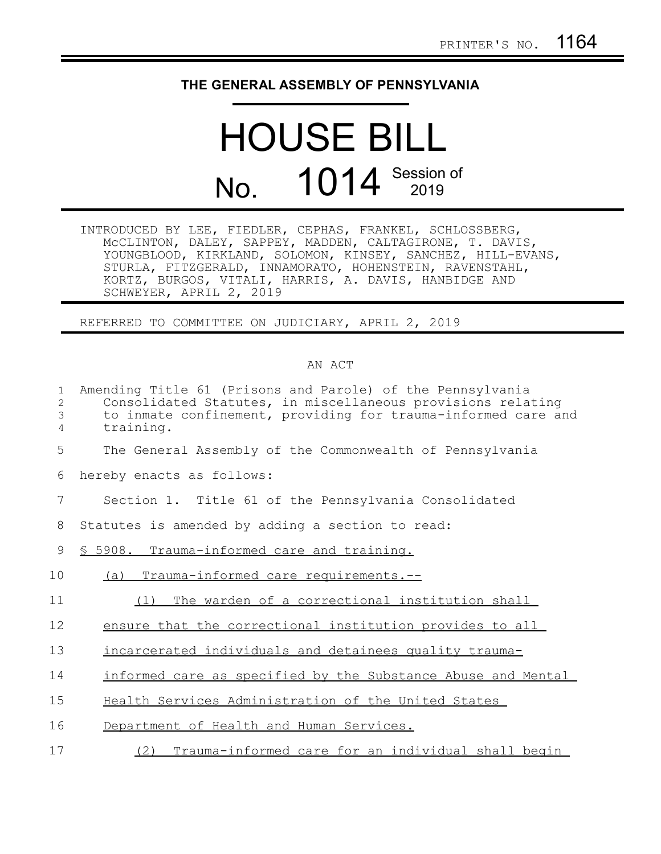## **THE GENERAL ASSEMBLY OF PENNSYLVANIA**

## HOUSE BILL No. 1014 Session of

| INTRODUCED BY LEE, FIEDLER, CEPHAS, FRANKEL, SCHLOSSBERG,   |  |  |
|-------------------------------------------------------------|--|--|
| MCCLINTON, DALEY, SAPPEY, MADDEN, CALTAGIRONE, T. DAVIS,    |  |  |
| YOUNGBLOOD, KIRKLAND, SOLOMON, KINSEY, SANCHEZ, HILL-EVANS, |  |  |
| STURLA, FITZGERALD, INNAMORATO, HOHENSTEIN, RAVENSTAHL,     |  |  |
| KORTZ, BURGOS, VITALI, HARRIS, A. DAVIS, HANBIDGE AND       |  |  |
| SCHWEYER, APRIL 2, 2019                                     |  |  |

REFERRED TO COMMITTEE ON JUDICIARY, APRIL 2, 2019

## AN ACT

| $\mathbf{1}$<br>$\overline{2}$<br>3<br>4 | Amending Title 61 (Prisons and Parole) of the Pennsylvania<br>Consolidated Statutes, in miscellaneous provisions relating<br>to inmate confinement, providing for trauma-informed care and<br>training. |
|------------------------------------------|---------------------------------------------------------------------------------------------------------------------------------------------------------------------------------------------------------|
| 5                                        | The General Assembly of the Commonwealth of Pennsylvania                                                                                                                                                |
| 6                                        | hereby enacts as follows:                                                                                                                                                                               |
| 7                                        | Section 1. Title 61 of the Pennsylvania Consolidated                                                                                                                                                    |
| 8                                        | Statutes is amended by adding a section to read:                                                                                                                                                        |
| 9                                        | § 5908. Trauma-informed care and training.                                                                                                                                                              |
| 10                                       | Trauma-informed care requirements.--<br>(a)                                                                                                                                                             |
| 11                                       | The warden of a correctional institution shall<br>(1)                                                                                                                                                   |
| 12                                       | ensure that the correctional institution provides to all                                                                                                                                                |
| 13                                       | incarcerated individuals and detainees quality trauma-                                                                                                                                                  |
| 14                                       | informed care as specified by the Substance Abuse and Mental                                                                                                                                            |
| 15                                       | Health Services Administration of the United States                                                                                                                                                     |
| 16                                       | Department of Health and Human Services.                                                                                                                                                                |
| 17                                       | Trauma-informed care for an individual shall begin<br>(2)                                                                                                                                               |